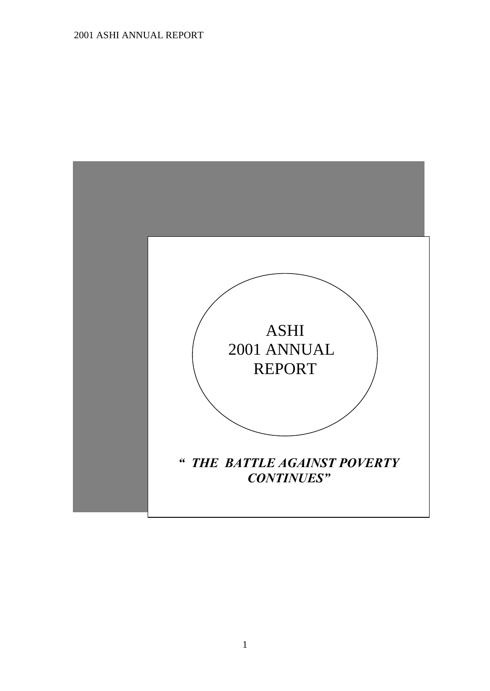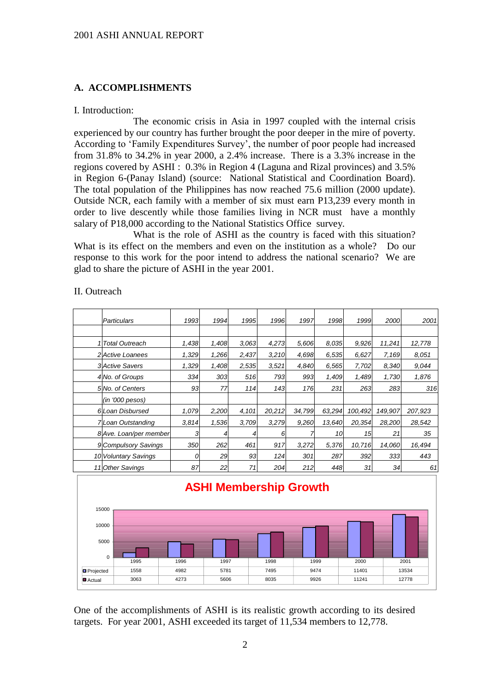### **A. ACCOMPLISHMENTS**

#### I. Introduction:

The economic crisis in Asia in 1997 coupled with the internal crisis experienced by our country has further brought the poor deeper in the mire of poverty. According to 'Family Expenditures Survey', the number of poor people had increased from 31.8% to 34.2% in year 2000, a 2.4% increase. There is a 3.3% increase in the regions covered by ASHI : 0.3% in Region 4 (Laguna and Rizal provinces) and 3.5% in Region 6-(Panay Island) (source: National Statistical and Coordination Board). The total population of the Philippines has now reached 75.6 million (2000 update). Outside NCR, each family with a member of six must earn P13,239 every month in order to live descently while those families living in NCR must have a monthly salary of P18,000 according to the National Statistics Office survey.

What is the role of ASHI as the country is faced with this situation? What is its effect on the members and even on the institution as a whole? Do our response to this work for the poor intend to address the national scenario? We are glad to share the picture of ASHI in the year 2001.

| Particulars              | 1993  | 1994  | 1995  | 1996   | 1997   | 1998   | 1999    | 2000    | 2001    |
|--------------------------|-------|-------|-------|--------|--------|--------|---------|---------|---------|
|                          |       |       |       |        |        |        |         |         |         |
| 1 Total Outreach         | 1,438 | 1,408 | 3.063 | 4,273  | 5,606  | 8.035  | 9,926   | 11,241  | 12,778  |
| <b>2</b> Active Loanees  | 1,329 | 1.266 | 2,437 | 3,210  | 4,698  | 6,535  | 6,627   | 7,169   | 8.051   |
| <b>3</b> Active Savers   | 1,329 | 1,408 | 2,535 | 3,521  | 4,840  | 6,565  | 7,702   | 8,340   | 9,044   |
| 4 No. of Groups          | 334   | 303   | 516   | 793    | 993    | 1,409  | 1,489   | 1,730   | 1,876   |
| 5 No. of Centers         | 93    | 77    | 114   | 143    | 176    | 231    | 263     | 283     | 316     |
| (in '000 pesos)          |       |       |       |        |        |        |         |         |         |
| 6 Loan Disbursed         | 1,079 | 2,200 | 4,101 | 20,212 | 34,799 | 63,294 | 100,492 | 149,907 | 207,923 |
| <b>7Loan Outstanding</b> | 3.814 | 1,536 | 3,709 | 3,279  | 9,260  | 13,640 | 20,354  | 28,200  | 28,542  |
| 8 Ave. Loan/per member   | 31    |       |       | 6      |        | 10     | 15      | 21      | 35      |
| 9 Compulsory Savings     | 350   | 262   | 461   | 917    | 3,272  | 5,376  | 10,716  | 14,060  | 16,494  |
| 10 Voluntary Savings     | 0     | 29    | 93    | 124    | 301    | 287    | 392     | 333     | 443     |
| 11 Other Savings         | 87    | 22    | 71    | 204    | 212    | 448    | 31      | 34      | 61      |

### II. Outreach



One of the accomplishments of ASHI is its realistic growth according to its desired targets. For year 2001, ASHI exceeded its target of 11,534 members to 12,778.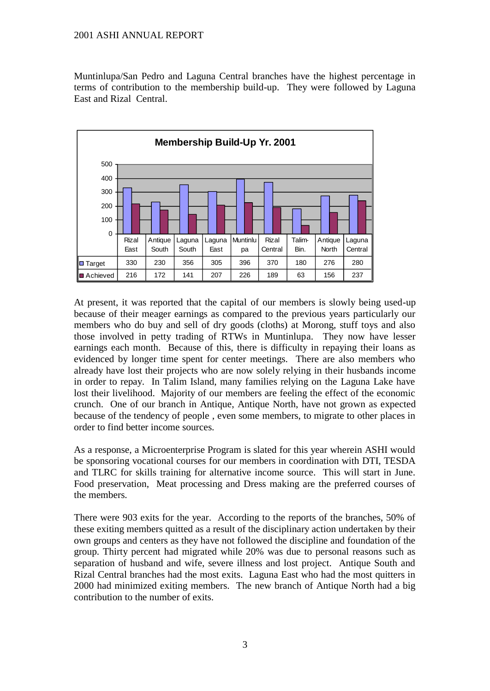Muntinlupa/San Pedro and Laguna Central branches have the highest percentage in terms of contribution to the membership build-up. They were followed by Laguna East and Rizal Central.



At present, it was reported that the capital of our members is slowly being used-up because of their meager earnings as compared to the previous years particularly our members who do buy and sell of dry goods (cloths) at Morong, stuff toys and also those involved in petty trading of RTWs in Muntinlupa. They now have lesser earnings each month. Because of this, there is difficulty in repaying their loans as evidenced by longer time spent for center meetings. There are also members who already have lost their projects who are now solely relying in their husbands income in order to repay. In Talim Island, many families relying on the Laguna Lake have lost their livelihood. Majority of our members are feeling the effect of the economic crunch. One of our branch in Antique, Antique North, have not grown as expected because of the tendency of people , even some members, to migrate to other places in order to find better income sources.

As a response, a Microenterprise Program is slated for this year wherein ASHI would be sponsoring vocational courses for our members in coordination with DTI, TESDA and TLRC for skills training for alternative income source. This will start in June. Food preservation, Meat processing and Dress making are the preferred courses of the members.

There were 903 exits for the year. According to the reports of the branches, 50% of these exiting members quitted as a result of the disciplinary action undertaken by their own groups and centers as they have not followed the discipline and foundation of the group. Thirty percent had migrated while 20% was due to personal reasons such as separation of husband and wife, severe illness and lost project. Antique South and Rizal Central branches had the most exits. Laguna East who had the most quitters in 2000 had minimized exiting members. The new branch of Antique North had a big contribution to the number of exits.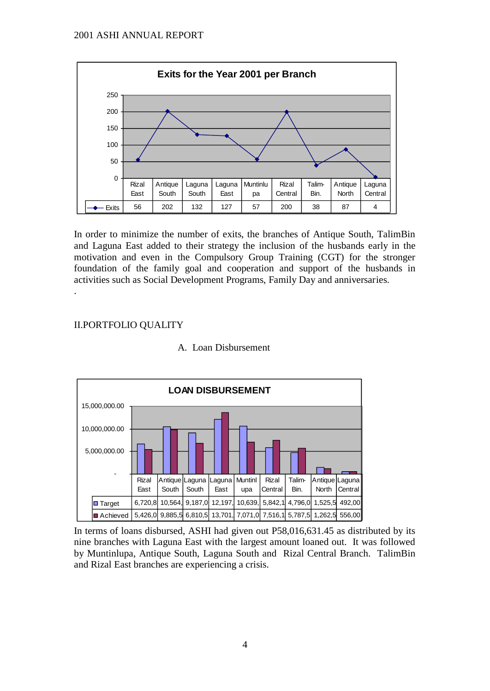

In order to minimize the number of exits, the branches of Antique South, TalimBin and Laguna East added to their strategy the inclusion of the husbands early in the motivation and even in the Compulsory Group Training (CGT) for the stronger foundation of the family goal and cooperation and support of the husbands in activities such as Social Development Programs, Family Day and anniversaries.

# II.PORTFOLIO QUALITY

.



## A. Loan Disbursement

In terms of loans disbursed, ASHI had given out P58,016,631.45 as distributed by its nine branches with Laguna East with the largest amount loaned out. It was followed by Muntinlupa, Antique South, Laguna South and Rizal Central Branch. TalimBin and Rizal East branches are experiencing a crisis.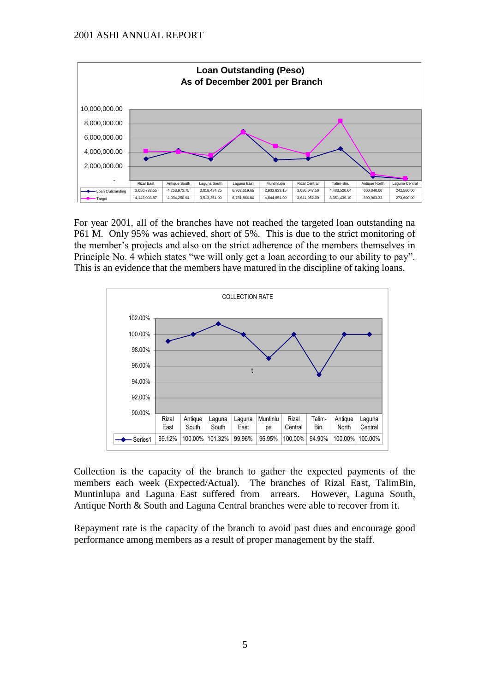

For year 2001, all of the branches have not reached the targeted loan outstanding na P61 M. Only 95% was achieved, short of 5%. This is due to the strict monitoring of the member's projects and also on the strict adherence of the members themselves in Principle No. 4 which states "we will only get a loan according to our ability to pay". This is an evidence that the members have matured in the discipline of taking loans.



Collection is the capacity of the branch to gather the expected payments of the members each week (Expected/Actual). The branches of Rizal East, TalimBin, Muntinlupa and Laguna East suffered from arrears. However, Laguna South, Antique North & South and Laguna Central branches were able to recover from it.

Repayment rate is the capacity of the branch to avoid past dues and encourage good performance among members as a result of proper management by the staff.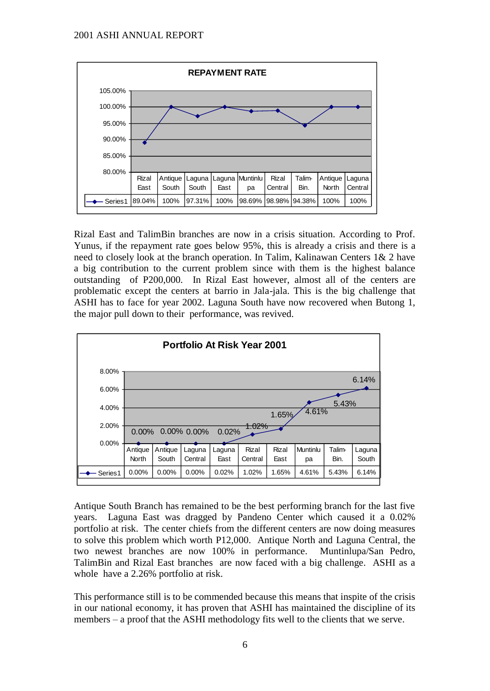

Rizal East and TalimBin branches are now in a crisis situation. According to Prof. Yunus, if the repayment rate goes below 95%, this is already a crisis and there is a need to closely look at the branch operation. In Talim, Kalinawan Centers 1& 2 have a big contribution to the current problem since with them is the highest balance outstanding of P200,000. In Rizal East however, almost all of the centers are problematic except the centers at barrio in Jala-jala. This is the big challenge that ASHI has to face for year 2002. Laguna South have now recovered when Butong 1, the major pull down to their performance, was revived.



Antique South Branch has remained to be the best performing branch for the last five years. Laguna East was dragged by Pandeno Center which caused it a 0.02% portfolio at risk. The center chiefs from the different centers are now doing measures to solve this problem which worth P12,000. Antique North and Laguna Central, the two newest branches are now 100% in performance. Muntinlupa/San Pedro, TalimBin and Rizal East branches are now faced with a big challenge. ASHI as a whole have a 2.26% portfolio at risk.

This performance still is to be commended because this means that inspite of the crisis in our national economy, it has proven that ASHI has maintained the discipline of its members – a proof that the ASHI methodology fits well to the clients that we serve.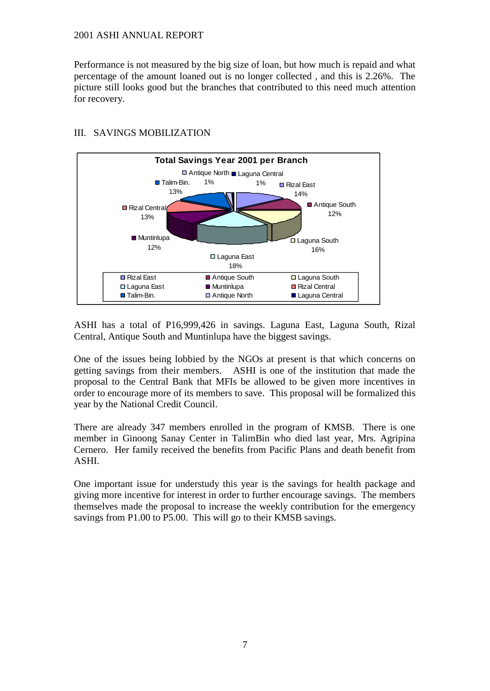Performance is not measured by the big size of loan, but how much is repaid and what percentage of the amount loaned out is no longer collected , and this is 2.26%. The picture still looks good but the branches that contributed to this need much attention for recovery.



## III. SAVINGS MOBILIZATION

ASHI has a total of P16,999,426 in savings. Laguna East, Laguna South, Rizal Central, Antique South and Muntinlupa have the biggest savings.

One of the issues being lobbied by the NGOs at present is that which concerns on getting savings from their members. ASHI is one of the institution that made the proposal to the Central Bank that MFIs be allowed to be given more incentives in order to encourage more of its members to save. This proposal will be formalized this year by the National Credit Council.

There are already 347 members enrolled in the program of KMSB. There is one member in Ginoong Sanay Center in TalimBin who died last year, Mrs. Agripina Cernero. Her family received the benefits from Pacific Plans and death benefit from ASHI.

One important issue for understudy this year is the savings for health package and giving more incentive for interest in order to further encourage savings. The members themselves made the proposal to increase the weekly contribution for the emergency savings from P1.00 to P5.00. This will go to their KMSB savings.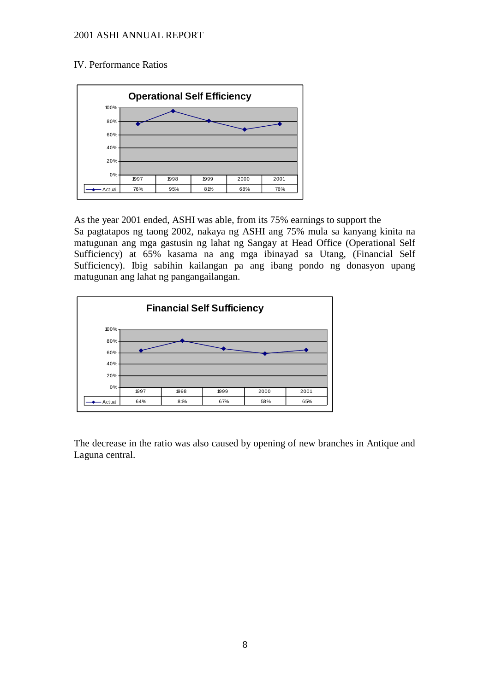### IV. Performance Ratios



As the year 2001 ended, ASHI was able, from its 75% earnings to support the Sa pagtatapos ng taong 2002, nakaya ng ASHI ang 75% mula sa kanyang kinita na matugunan ang mga gastusin ng lahat ng Sangay at Head Office (Operational Self Sufficiency) at 65% kasama na ang mga ibinayad sa Utang, (Financial Self Sufficiency). Ibig sabihin kailangan pa ang ibang pondo ng donasyon upang matugunan ang lahat ng pangangailangan.



The decrease in the ratio was also caused by opening of new branches in Antique and Laguna central.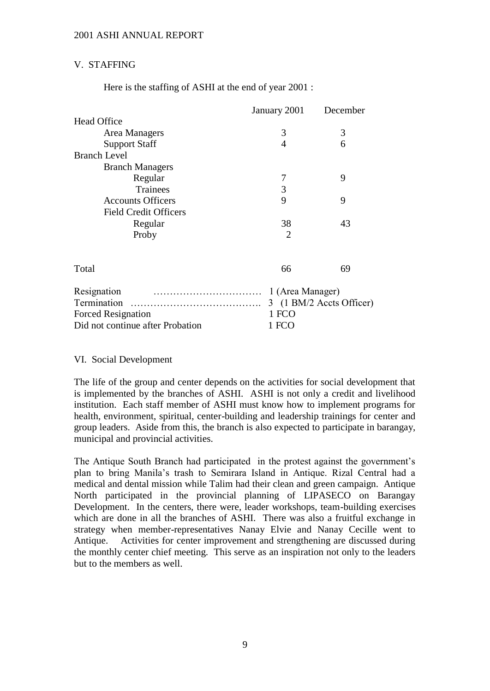## V. STAFFING

Here is the staffing of ASHI at the end of year 2001 :

|                                  | January 2001     | December                 |
|----------------------------------|------------------|--------------------------|
| <b>Head Office</b>               |                  |                          |
| Area Managers                    | 3                | 3                        |
| <b>Support Staff</b>             | $\overline{4}$   | 6                        |
| <b>Branch Level</b>              |                  |                          |
| <b>Branch Managers</b>           |                  |                          |
| Regular                          | 7                | 9                        |
| Trainees                         | 3                |                          |
| <b>Accounts Officers</b>         | 9                | 9                        |
| <b>Field Credit Officers</b>     |                  |                          |
| Regular                          | 38               | 43                       |
| Proby                            | 2                |                          |
|                                  |                  |                          |
| Total                            | 66               | 69                       |
| Resignation                      | 1 (Area Manager) |                          |
| Termination                      |                  | 3 (1 BM/2 Accts Officer) |
| <b>Forced Resignation</b>        | 1 FCO            |                          |
| Did not continue after Probation | 1 FCO            |                          |

### VI. Social Development

The life of the group and center depends on the activities for social development that is implemented by the branches of ASHI. ASHI is not only a credit and livelihood institution. Each staff member of ASHI must know how to implement programs for health, environment, spiritual, center-building and leadership trainings for center and group leaders. Aside from this, the branch is also expected to participate in barangay, municipal and provincial activities.

The Antique South Branch had participated in the protest against the government's plan to bring Manila's trash to Semirara Island in Antique. Rizal Central had a medical and dental mission while Talim had their clean and green campaign. Antique North participated in the provincial planning of LIPASECO on Barangay Development. In the centers, there were, leader workshops, team-building exercises which are done in all the branches of ASHI. There was also a fruitful exchange in strategy when member-representatives Nanay Elvie and Nanay Cecille went to Antique. Activities for center improvement and strengthening are discussed during the monthly center chief meeting. This serve as an inspiration not only to the leaders but to the members as well.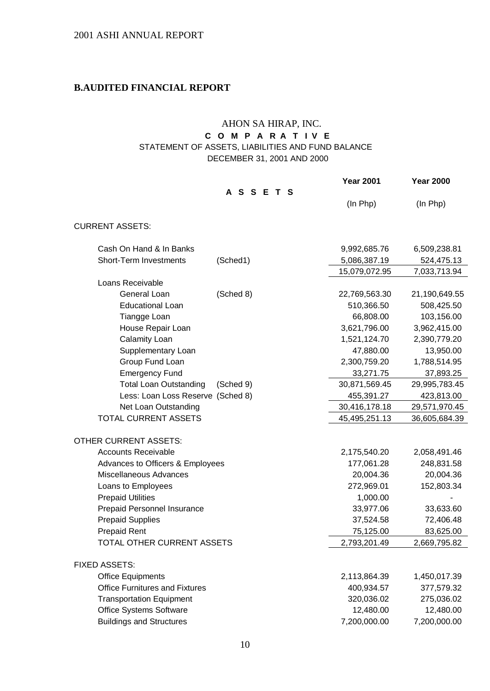# **B.AUDITED FINANCIAL REPORT**

# AHON SA HIRAP, INC.

# **C O M P A R A T I V E**  STATEMENT OF ASSETS, LIABILITIES AND FUND BALANCE

DECEMBER 31, 2001 AND 2000

|                                       |               | <b>Year 2001</b> | <b>Year 2000</b> |
|---------------------------------------|---------------|------------------|------------------|
|                                       | <b>ASSETS</b> |                  |                  |
|                                       |               | (In Php)         | (In Php)         |
| <b>CURRENT ASSETS:</b>                |               |                  |                  |
| Cash On Hand & In Banks               |               | 9,992,685.76     | 6,509,238.81     |
| Short-Term Investments                | (Sched1)      | 5,086,387.19     | 524,475.13       |
|                                       |               | 15,079,072.95    | 7,033,713.94     |
| Loans Receivable                      |               |                  |                  |
| General Loan                          | (Sched 8)     | 22,769,563.30    | 21,190,649.55    |
| <b>Educational Loan</b>               |               | 510,366.50       | 508,425.50       |
| Tiangge Loan                          |               | 66,808.00        | 103,156.00       |
| House Repair Loan                     |               | 3,621,796.00     | 3,962,415.00     |
| Calamity Loan                         |               | 1,521,124.70     | 2,390,779.20     |
| Supplementary Loan                    |               | 47,880.00        | 13,950.00        |
| Group Fund Loan                       |               | 2,300,759.20     | 1,788,514.95     |
| <b>Emergency Fund</b>                 |               | 33,271.75        | 37,893.25        |
| <b>Total Loan Outstanding</b>         | (Sched 9)     | 30,871,569.45    | 29,995,783.45    |
| Less: Loan Loss Reserve (Sched 8)     |               | 455,391.27       | 423,813.00       |
| Net Loan Outstanding                  |               | 30,416,178.18    | 29,571,970.45    |
| TOTAL CURRENT ASSETS                  |               | 45,495,251.13    | 36,605,684.39    |
| OTHER CURRENT ASSETS:                 |               |                  |                  |
| <b>Accounts Receivable</b>            |               | 2,175,540.20     | 2,058,491.46     |
| Advances to Officers & Employees      |               | 177,061.28       | 248,831.58       |
| Miscellaneous Advances                |               | 20,004.36        | 20,004.36        |
| Loans to Employees                    |               | 272,969.01       | 152,803.34       |
| <b>Prepaid Utilities</b>              |               | 1,000.00         |                  |
| Prepaid Personnel Insurance           |               | 33,977.06        | 33,633.60        |
| <b>Prepaid Supplies</b>               |               | 37,524.58        | 72,406.48        |
| <b>Prepaid Rent</b>                   |               | 75,125.00        | 83,625.00        |
| TOTAL OTHER CURRENT ASSETS            |               | 2,793,201.49     | 2,669,795.82     |
| <b>FIXED ASSETS:</b>                  |               |                  |                  |
| <b>Office Equipments</b>              |               | 2,113,864.39     | 1,450,017.39     |
| <b>Office Furnitures and Fixtures</b> |               | 400,934.57       | 377,579.32       |
| <b>Transportation Equipment</b>       |               | 320,036.02       | 275,036.02       |
| Office Systems Software               |               | 12,480.00        | 12,480.00        |
| <b>Buildings and Structures</b>       |               | 7,200,000.00     | 7,200,000.00     |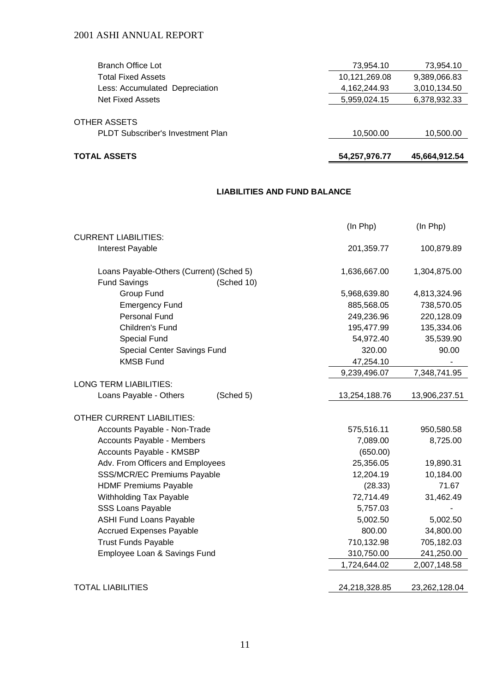| <b>TOTAL ASSETS</b>                      | 54,257,976.77 | 45,664,912.54 |
|------------------------------------------|---------------|---------------|
| <b>PLDT Subscriber's Investment Plan</b> | 10,500.00     | 10,500.00     |
| <b>OTHER ASSETS</b>                      |               |               |
| <b>Net Fixed Assets</b>                  | 5,959,024.15  | 6,378,932.33  |
| Less: Accumulated Depreciation           | 4,162,244.93  | 3,010,134.50  |
| Total Fixed Assets                       | 10,121,269.08 | 9,389,066.83  |
| Branch Office Lot                        | 73,954.10     | 73,954.10     |

### **LIABILITIES AND FUND BALANCE**

|                                          | (In Php)      | (In Php)      |
|------------------------------------------|---------------|---------------|
| <b>CURRENT LIABILITIES:</b>              |               |               |
| Interest Payable                         | 201,359.77    | 100,879.89    |
| Loans Payable-Others (Current) (Sched 5) | 1,636,667.00  | 1,304,875.00  |
| <b>Fund Savings</b><br>(Sched 10)        |               |               |
| Group Fund                               | 5,968,639.80  | 4,813,324.96  |
| <b>Emergency Fund</b>                    | 885,568.05    | 738,570.05    |
| Personal Fund                            | 249,236.96    | 220,128.09    |
| Children's Fund                          | 195,477.99    | 135,334.06    |
| <b>Special Fund</b>                      | 54,972.40     | 35,539.90     |
| <b>Special Center Savings Fund</b>       | 320.00        | 90.00         |
| <b>KMSB Fund</b>                         | 47,254.10     |               |
|                                          | 9,239,496.07  | 7,348,741.95  |
| <b>LONG TERM LIABILITIES:</b>            |               |               |
| Loans Payable - Others<br>(Sched 5)      | 13,254,188.76 | 13,906,237.51 |
| <b>OTHER CURRENT LIABILITIES:</b>        |               |               |
| Accounts Payable - Non-Trade             | 575,516.11    | 950,580.58    |
| Accounts Payable - Members               | 7,089.00      | 8,725.00      |
| Accounts Payable - KMSBP                 | (650.00)      |               |
| Adv. From Officers and Employees         | 25,356.05     | 19,890.31     |
| SSS/MCR/EC Premiums Payable              | 12,204.19     | 10,184.00     |
| <b>HDMF Premiums Payable</b>             | (28.33)       | 71.67         |
| Withholding Tax Payable                  | 72,714.49     | 31,462.49     |
| <b>SSS Loans Payable</b>                 | 5,757.03      |               |
| <b>ASHI Fund Loans Payable</b>           | 5,002.50      | 5,002.50      |
| <b>Accrued Expenses Payable</b>          | 800.00        | 34,800.00     |
| <b>Trust Funds Payable</b>               | 710,132.98    | 705,182.03    |
| Employee Loan & Savings Fund             | 310,750.00    | 241,250.00    |
|                                          | 1,724,644.02  | 2,007,148.58  |
|                                          |               |               |
| <b>TOTAL LIABILITIES</b>                 | 24,218,328.85 | 23,262,128.04 |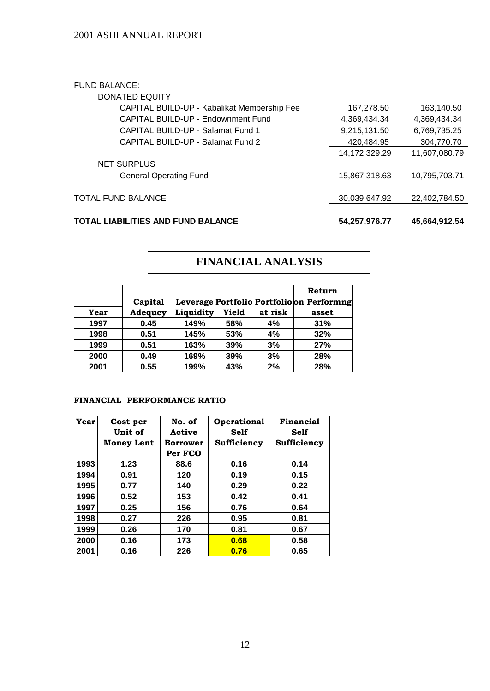### FUND BALANCE:

| DONATED EQUITY                              |               |               |
|---------------------------------------------|---------------|---------------|
| CAPITAL BUILD-UP - Kabalikat Membership Fee | 167,278.50    | 163,140.50    |
| CAPITAL BUILD-UP - Endownment Fund          | 4,369,434.34  | 4,369,434.34  |
| CAPITAL BUILD-UP - Salamat Fund 1           | 9,215,131.50  | 6,769,735.25  |
| CAPITAL BUILD-UP - Salamat Fund 2           | 420,484.95    | 304,770.70    |
|                                             | 14,172,329.29 | 11,607,080.79 |
| <b>NET SURPLUS</b>                          |               |               |
| <b>General Operating Fund</b>               | 15,867,318.63 | 10,795,703.71 |
|                                             |               |               |
| TOTAL FUND BALANCE                          | 30,039,647.92 | 22,402,784.50 |
|                                             |               |               |
|                                             |               |               |

## **TOTAL LIABILITIES AND FUND BALANCE 54,257,976.77 45,664,912.54**

# **FINANCIAL ANALYSIS**

|      |                |           |       |         | Return                                    |
|------|----------------|-----------|-------|---------|-------------------------------------------|
|      | Capital        |           |       |         | Leverage Portfolio Portfolio on Performng |
| Year | <b>Adequcy</b> | Liquidity | Yield | at risk | asset                                     |
| 1997 | 0.45           | 149%      | 58%   | 4%      | 31%                                       |
| 1998 | 0.51           | 145%      | 53%   | 4%      | 32%                                       |
| 1999 | 0.51           | 163%      | 39%   | 3%      | 27%                                       |
| 2000 | 0.49           | 169%      | 39%   | 3%      | 28%                                       |
| 2001 | 0.55           | 199%      | 43%   | 2%      | 28%                                       |

## **FINANCIAL PERFORMANCE RATIO**

| Year | Cost per<br>Unit of | No. of<br>Active | Operational<br><b>Self</b> | Financial<br><b>Self</b> |
|------|---------------------|------------------|----------------------------|--------------------------|
|      | <b>Money Lent</b>   | <b>Borrower</b>  | Sufficiency                | Sufficiency              |
|      |                     | Per FCO          |                            |                          |
| 1993 | 1.23                | 88.6             | 0.16                       | 0.14                     |
| 1994 | 0.91                | 120              | 0.19                       | 0.15                     |
| 1995 | 0.77                | 140              | 0.29                       | 0.22                     |
| 1996 | 0.52                | 153              | 0.42                       | 0.41                     |
| 1997 | 0.25                | 156              | 0.76                       | 0.64                     |
| 1998 | 0.27                | 226              | 0.95                       | 0.81                     |
| 1999 | 0.26                | 170              | 0.81                       | 0.67                     |
| 2000 | 0.16                | 173              | 0.68                       | 0.58                     |
| 2001 | 0.16                | 226              | 0.76                       | 0.65                     |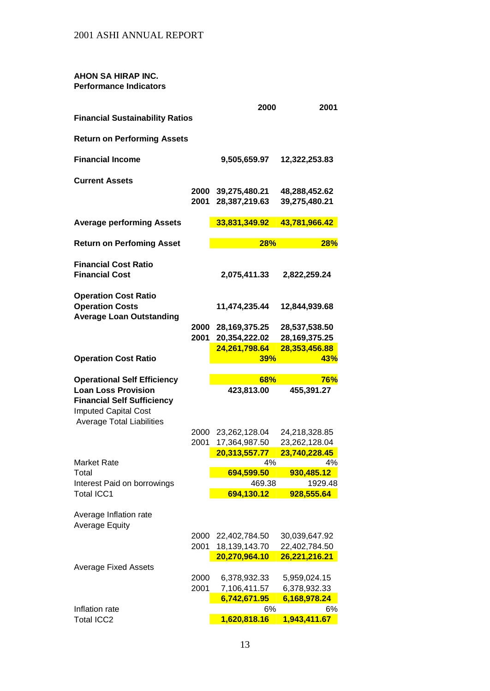### **AHON SA HIRAP INC. Performance Indicators**

|                                                                                                |              | 2000                         | 2001                         |
|------------------------------------------------------------------------------------------------|--------------|------------------------------|------------------------------|
| <b>Financial Sustainability Ratios</b>                                                         |              |                              |                              |
| <b>Return on Performing Assets</b>                                                             |              |                              |                              |
| <b>Financial Income</b>                                                                        |              | 9,505,659.97                 | 12,322,253.83                |
| <b>Current Assets</b>                                                                          |              |                              |                              |
|                                                                                                | 2000         | 39,275,480.21                | 48,288,452.62                |
|                                                                                                | 2001         | 28,387,219.63                | 39,275,480.21                |
| <b>Average performing Assets</b>                                                               |              | 33,831,349.92                | 43,781,966.42                |
| <b>Return on Perfoming Asset</b>                                                               |              | 28%                          | 28%                          |
| <b>Financial Cost Ratio</b><br><b>Financial Cost</b>                                           |              | 2,075,411.33                 | 2,822,259.24                 |
| <b>Operation Cost Ratio</b>                                                                    |              |                              |                              |
| <b>Operation Costs</b><br><b>Average Loan Outstanding</b>                                      |              | 11,474,235.44                | 12,844,939.68                |
|                                                                                                | 2000         | 28, 169, 375. 25             | 28,537,538.50                |
|                                                                                                | 2001         | 20,354,222.02                | 28, 169, 375. 25             |
|                                                                                                |              | 24,261,798.64                | 28,353,456.88<br>43%         |
| <b>Operation Cost Ratio</b>                                                                    |              | 39%                          |                              |
|                                                                                                |              |                              |                              |
| <b>Operational Self Efficiency</b>                                                             |              | 68%                          | 76%                          |
| <b>Loan Loss Provision</b><br><b>Financial Self Sufficiency</b><br><b>Imputed Capital Cost</b> |              | 423,813.00                   | 455,391.27                   |
| <b>Average Total Liabilities</b>                                                               | 2000         | 23,262,128.04                | 24,218,328.85                |
|                                                                                                | 2001         | 17,364,987.50                | 23,262,128.04                |
|                                                                                                |              | 20,313,557.77                | 23,740,228.45                |
| <b>Market Rate</b>                                                                             |              | 4%                           | 4%                           |
| Total                                                                                          |              | 694,599.50                   | 930,485.12                   |
| Interest Paid on borrowings<br><b>Total ICC1</b>                                               |              | 469.38<br>694,130.12         | 1929.48<br>928,555.64        |
| Average Inflation rate<br><b>Average Equity</b>                                                |              |                              |                              |
|                                                                                                | 2000         | 22,402,784.50                | 30,039,647.92                |
|                                                                                                | 2001         | 18,139,143.70                | 22,402,784.50                |
|                                                                                                |              | 20,270,964.10                | 26,221,216.21                |
| <b>Average Fixed Assets</b>                                                                    |              |                              |                              |
|                                                                                                | 2000<br>2001 | 6,378,932.33                 | 5,959,024.15                 |
|                                                                                                |              | 7,106,411.57<br>6,742,671.95 | 6,378,932.33<br>6,168,978.24 |
| Inflation rate<br><b>Total ICC2</b>                                                            |              | 6%<br>1,620,818.16           | 6%<br>1,943,411.67           |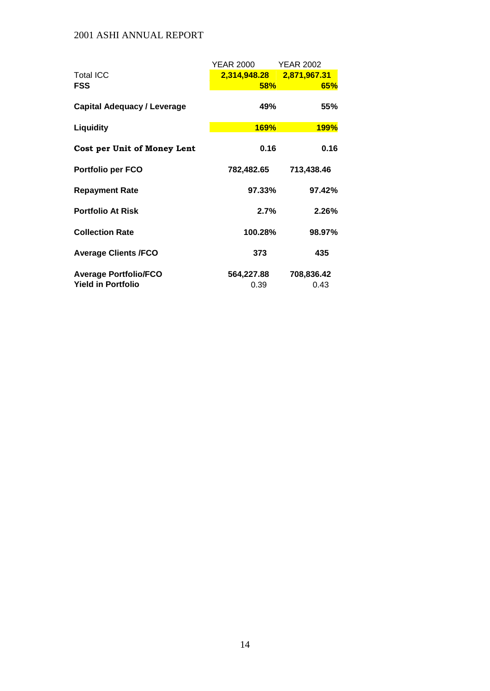|                                    | YEAR 2000                 | <b>YEAR 2002</b> |
|------------------------------------|---------------------------|------------------|
| <b>Total ICC</b>                   | 2,314,948.28 2,871,967.31 |                  |
| FSS                                | $58\%$                    | 65%              |
| <b>Capital Adequacy / Leverage</b> | 49%                       | 55%              |
| Liquidity                          | <b>169%</b>               | <b>199%</b>      |
| Cost per Unit of Money Lent        | 0.16                      | 0.16             |
| <b>Portfolio per FCO</b>           | 782,482.65                | 713,438.46       |
| <b>Repayment Rate</b>              | 97.33%                    | 97.42%           |
| <b>Portfolio At Risk</b>           | 2.7%                      | 2.26%            |
| <b>Collection Rate</b>             | 100.28%                   | 98.97%           |
| <b>Average Clients /FCO</b>        | 373                       | 435              |
| <b>Average Portfolio/FCO</b>       | 564,227.88                | 708,836.42       |
| <b>Yield in Portfolio</b>          | 0.39                      | 0.43             |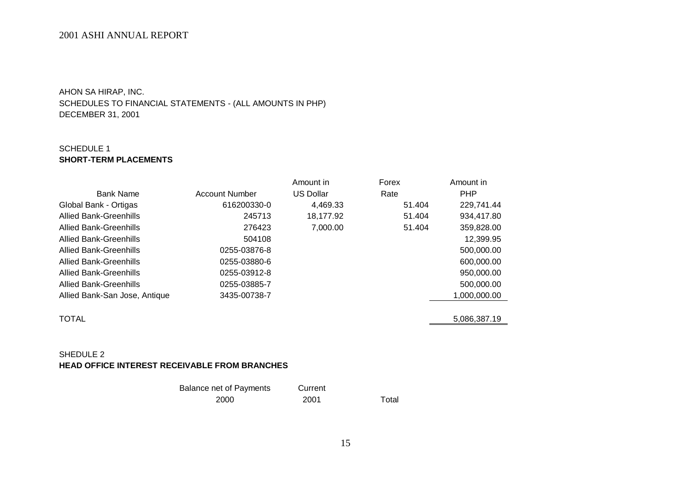AHON SA HIRAP, INC.

SCHEDULES TO FINANCIAL STATEMENTS - (ALL AMOUNTS IN PHP) DECEMBER 31, 2001

## SCHEDULE 1 **SHORT-TERM PLACEMENTS**

|                               |                | Amount in        | Forex  | Amount in    |
|-------------------------------|----------------|------------------|--------|--------------|
| <b>Bank Name</b>              | Account Number | <b>US Dollar</b> | Rate   | <b>PHP</b>   |
| Global Bank - Ortigas         | 616200330-0    | 4,469.33         | 51.404 | 229,741.44   |
| <b>Allied Bank-Greenhills</b> | 245713         | 18,177.92        | 51.404 | 934,417.80   |
| Allied Bank-Greenhills        | 276423         | 7,000.00         | 51.404 | 359,828.00   |
| Allied Bank-Greenhills        | 504108         |                  |        | 12,399.95    |
| Allied Bank-Greenhills        | 0255-03876-8   |                  |        | 500,000.00   |
| Allied Bank-Greenhills        | 0255-03880-6   |                  |        | 600,000.00   |
| Allied Bank-Greenhills        | 0255-03912-8   |                  |        | 950,000.00   |
| Allied Bank-Greenhills        | 0255-03885-7   |                  |        | 500,000.00   |
| Allied Bank-San Jose, Antique | 3435-00738-7   |                  |        | 1,000,000.00 |
|                               |                |                  |        |              |
| <b>TOTAL</b>                  |                |                  |        | 5,086,387.19 |
|                               |                |                  |        |              |

### SHEDULE 2 **HEAD OFFICE INTEREST RECEIVABLE FROM BRANCHES**

| Balance net of Payments | Current |       |
|-------------------------|---------|-------|
| 2000                    | 2001    | Total |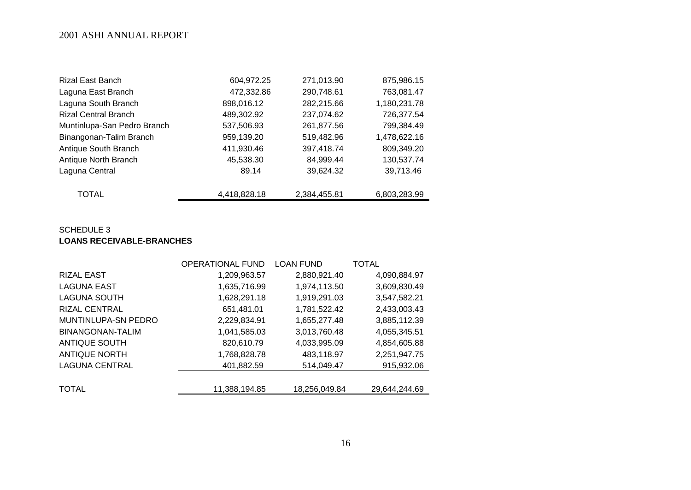| <b>Rizal East Banch</b>     | 604,972.25   | 271,013.90   | 875,986.15   |
|-----------------------------|--------------|--------------|--------------|
| Laguna East Branch          | 472,332.86   | 290,748.61   | 763,081.47   |
| Laguna South Branch         | 898,016.12   | 282,215.66   | 1,180,231.78 |
| <b>Rizal Central Branch</b> | 489,302.92   | 237,074.62   | 726,377.54   |
| Muntinlupa-San Pedro Branch | 537,506.93   | 261,877.56   | 799,384.49   |
| Binangonan-Talim Branch     | 959,139.20   | 519,482.96   | 1,478,622.16 |
| Antique South Branch        | 411,930.46   | 397,418.74   | 809,349.20   |
| Antique North Branch        | 45,538.30    | 84,999.44    | 130,537.74   |
| Laguna Central              | 89.14        | 39,624.32    | 39,713.46    |
|                             |              |              |              |
| <b>TOTAL</b>                | 4,418,828.18 | 2,384,455.81 | 6,803,283.99 |

### SCHEDULE 3 **LOANS RECEIVABLE-BRANCHES**

|                         | <b>OPERATIONAL FUND</b> | <b>LOAN FUND</b> | TOTAL         |
|-------------------------|-------------------------|------------------|---------------|
| <b>RIZAL EAST</b>       | 1,209,963.57            | 2,880,921.40     | 4,090,884.97  |
| <b>LAGUNA EAST</b>      | 1,635,716.99            | 1,974,113.50     | 3,609,830.49  |
| <b>LAGUNA SOUTH</b>     | 1,628,291.18            | 1,919,291.03     | 3,547,582.21  |
| <b>RIZAL CENTRAL</b>    | 651,481.01              | 1,781,522.42     | 2,433,003.43  |
| MUNTINLUPA-SN PEDRO     | 2,229,834.91            | 1,655,277.48     | 3,885,112.39  |
| <b>BINANGONAN-TALIM</b> | 1,041,585.03            | 3,013,760.48     | 4,055,345.51  |
| <b>ANTIQUE SOUTH</b>    | 820,610.79              | 4,033,995.09     | 4,854,605.88  |
| <b>ANTIQUE NORTH</b>    | 1,768,828.78            | 483,118.97       | 2,251,947.75  |
| <b>LAGUNA CENTRAL</b>   | 401,882.59              | 514,049.47       | 915,932.06    |
|                         |                         |                  |               |
| <b>TOTAL</b>            | 11,388,194.85           | 18,256,049.84    | 29,644,244.69 |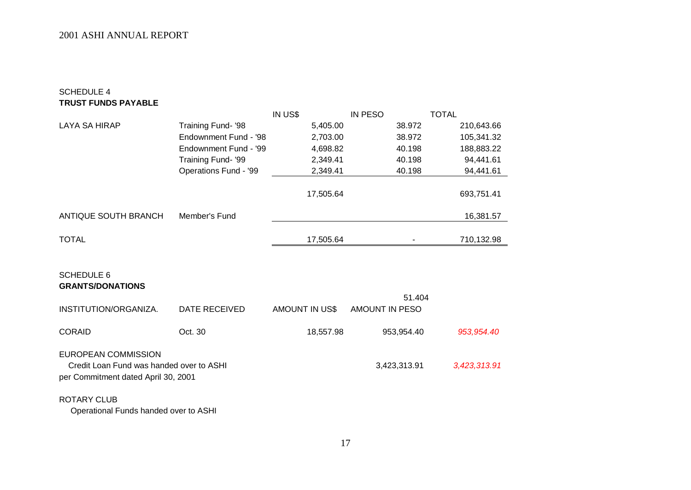## SCHEDULE 4 **TRUST FUNDS PAYABLE**

|                                          |                       | IN US\$               | IN PESO        | TOTAL        |
|------------------------------------------|-----------------------|-----------------------|----------------|--------------|
| <b>LAYA SA HIRAP</b>                     | Training Fund- '98    | 5,405.00              | 38.972         | 210,643.66   |
|                                          | Endownment Fund - '98 | 2,703.00              | 38.972         | 105,341.32   |
|                                          | Endownment Fund - '99 | 4,698.82              | 40.198         | 188,883.22   |
|                                          | Training Fund- '99    | 2,349.41              | 40.198         | 94,441.61    |
|                                          | Operations Fund - '99 | 2,349.41              | 40.198         | 94,441.61    |
|                                          |                       |                       |                |              |
|                                          |                       | 17,505.64             |                | 693,751.41   |
|                                          |                       |                       |                |              |
| ANTIQUE SOUTH BRANCH                     | Member's Fund         |                       |                | 16,381.57    |
| <b>TOTAL</b>                             |                       | 17,505.64             |                | 710,132.98   |
|                                          |                       |                       |                |              |
|                                          |                       |                       |                |              |
| <b>SCHEDULE 6</b>                        |                       |                       |                |              |
| <b>GRANTS/DONATIONS</b>                  |                       |                       |                |              |
|                                          |                       |                       | 51.404         |              |
| INSTITUTION/ORGANIZA.                    | DATE RECEIVED         | <b>AMOUNT IN US\$</b> | AMOUNT IN PESO |              |
|                                          |                       |                       |                |              |
| <b>CORAID</b>                            | Oct. 30               | 18,557.98             | 953,954.40     | 953,954.40   |
|                                          |                       |                       |                |              |
| <b>EUROPEAN COMMISSION</b>               |                       |                       |                |              |
| Credit Loan Fund was handed over to ASHI |                       |                       | 3,423,313.91   | 3,423,313.91 |
| per Commitment dated April 30, 2001      |                       |                       |                |              |
| <b>ROTARY CLUB</b>                       |                       |                       |                |              |
| Operational Funds bonded over to ACUL    |                       |                       |                |              |

Operational Funds handed over to ASHI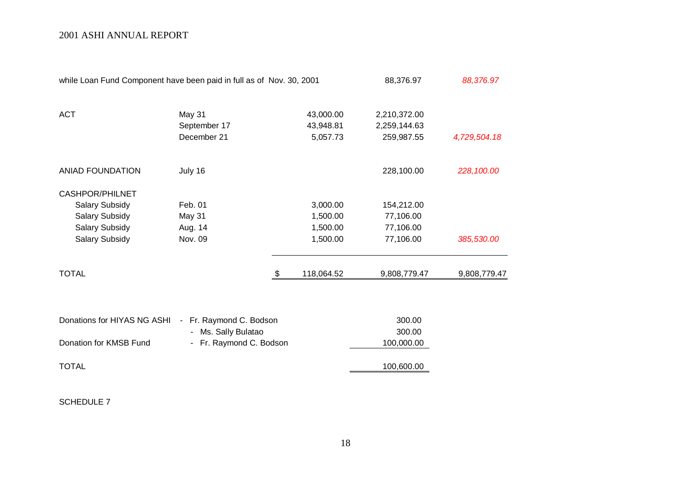| while Loan Fund Component have been paid in full as of Nov. 30, 2001 |              |   |            | 88,376.97    | 88,376.97    |
|----------------------------------------------------------------------|--------------|---|------------|--------------|--------------|
| <b>ACT</b>                                                           | May 31       |   | 43,000.00  | 2,210,372.00 |              |
|                                                                      | September 17 |   | 43,948.81  | 2,259,144.63 |              |
|                                                                      | December 21  |   | 5,057.73   | 259,987.55   | 4,729,504.18 |
| <b>ANIAD FOUNDATION</b>                                              | July 16      |   |            | 228,100.00   | 228,100.00   |
| <b>CASHPOR/PHILNET</b>                                               |              |   |            |              |              |
| <b>Salary Subsidy</b>                                                | Feb. 01      |   | 3,000.00   | 154,212.00   |              |
| <b>Salary Subsidy</b>                                                | May 31       |   | 1,500.00   | 77,106.00    |              |
| <b>Salary Subsidy</b>                                                | Aug. 14      |   | 1,500.00   | 77,106.00    |              |
| Salary Subsidy                                                       | Nov. 09      |   | 1,500.00   | 77,106.00    | 385,530.00   |
| <b>TOTAL</b>                                                         |              | S | 118,064.52 | 9,808,779.47 | 9,808,779.47 |
|                                                                      |              |   |            |              |              |

| Donations for HIYAS NG ASHI - Fr. Raymond C. Bodson |                         | 300.00     |
|-----------------------------------------------------|-------------------------|------------|
|                                                     | - Ms. Sally Bulatao     | 300.00     |
| Donation for KMSB Fund                              | - Fr. Raymond C. Bodson | 100,000.00 |
|                                                     |                         |            |
| TOTAL                                               |                         | 100,600.00 |
|                                                     |                         |            |

SCHEDULE 7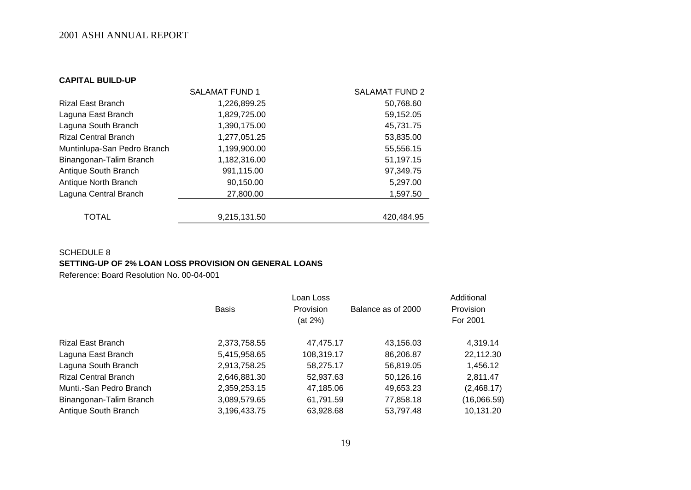#### **CAPITAL BUILD-UP**

|                             | <b>SALAMAT FUND 1</b> | <b>SALAMAT FUND 2</b> |
|-----------------------------|-----------------------|-----------------------|
| <b>Rizal East Branch</b>    | 1,226,899.25          | 50,768.60             |
| Laguna East Branch          | 1,829,725.00          | 59,152.05             |
| Laguna South Branch         | 1,390,175.00          | 45,731.75             |
| <b>Rizal Central Branch</b> | 1,277,051.25          | 53,835.00             |
| Muntinlupa-San Pedro Branch | 1,199,900.00          | 55,556.15             |
| Binangonan-Talim Branch     | 1,182,316.00          | 51,197.15             |
| Antique South Branch        | 991,115.00            | 97,349.75             |
| Antique North Branch        | 90,150.00             | 5,297.00              |
| Laguna Central Branch       | 27,800.00             | 1,597.50              |
|                             |                       |                       |
| <b>TOTAL</b>                | 9,215,131.50          | 420,484.95            |

## SCHEDULE 8 **SETTING-UP OF 2% LOAN LOSS PROVISION ON GENERAL LOANS**

Reference: Board Resolution No. 00-04-001

|                             |              | Loan Loss        |                    | Additional       |
|-----------------------------|--------------|------------------|--------------------|------------------|
|                             | <b>Basis</b> | <b>Provision</b> | Balance as of 2000 | <b>Provision</b> |
|                             |              | (at 2%)          |                    | For 2001         |
| Rizal East Branch           | 2,373,758.55 | 47,475.17        | 43,156.03          | 4,319.14         |
| Laguna East Branch          | 5,415,958.65 | 108,319.17       | 86,206.87          | 22,112.30        |
| Laguna South Branch         | 2,913,758.25 | 58,275.17        | 56,819.05          | 1,456.12         |
| <b>Rizal Central Branch</b> | 2,646,881.30 | 52,937.63        | 50,126.16          | 2,811.47         |
| Munti.-San Pedro Branch     | 2,359,253.15 | 47,185.06        | 49,653.23          | (2,468.17)       |
| Binangonan-Talim Branch     | 3,089,579.65 | 61,791.59        | 77,858.18          | (16,066.59)      |
| Antique South Branch        | 3,196,433.75 | 63,928.68        | 53,797.48          | 10,131.20        |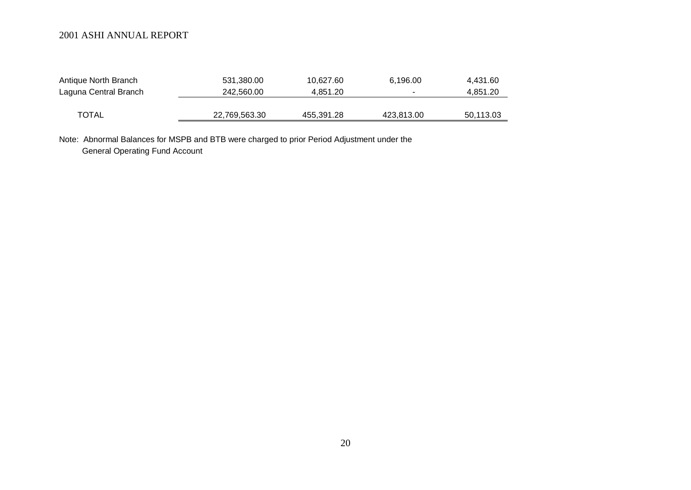| Antique North Branch  | 531,380.00    | 10.627.60  | 6,196.00   | 4,431.60  |
|-----------------------|---------------|------------|------------|-----------|
| Laguna Central Branch | 242.560.00    | 4.851.20   |            | 4.851.20  |
|                       |               |            |            |           |
| <b>TOTAL</b>          | 22,769,563.30 | 455,391.28 | 423,813.00 | 50,113.03 |

Note: Abnormal Balances for MSPB and BTB were charged to prior Period Adjustment under the General Operating Fund Account